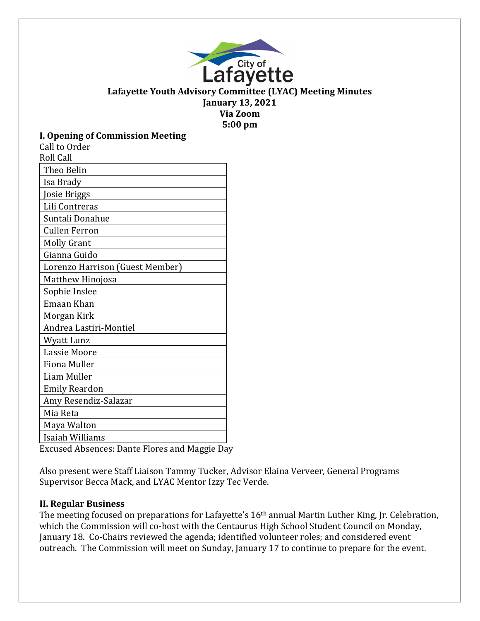

#### **Lafayette Youth Advisory Committee (LYAC) Meeting Minutes January 13, 2021 Via Zoom**

**5:00 pm**

### **I. Opening of Commission Meeting**

| Call to Order                   |
|---------------------------------|
| <b>Roll Call</b>                |
| Theo Belin                      |
| Isa Brady                       |
| Josie Briggs                    |
| Lili Contreras                  |
| Suntali Donahue                 |
| <b>Cullen Ferron</b>            |
| <b>Molly Grant</b>              |
| Gianna Guido                    |
| Lorenzo Harrison (Guest Member) |
| Matthew Hinojosa                |
| Sophie Inslee                   |
| Emaan Khan                      |
| Morgan Kirk                     |
| Andrea Lastiri-Montiel          |
| Wyatt Lunz                      |
| <b>Lassie Moore</b>             |
| <b>Fiona Muller</b>             |
| Liam Muller                     |
| <b>Emily Reardon</b>            |
| Amy Resendiz-Salazar            |
| Mia Reta                        |
| Maya Walton                     |
| Isaiah Williams                 |
|                                 |

Excused Absences: Dante Flores and Maggie Day

Also present were Staff Liaison Tammy Tucker, Advisor Elaina Verveer, General Programs Supervisor Becca Mack, and LYAC Mentor Izzy Tec Verde.

### **II. Regular Business**

The meeting focused on preparations for Lafayette's 16th annual Martin Luther King, Jr. Celebration, which the Commission will co-host with the Centaurus High School Student Council on Monday, January 18. Co-Chairs reviewed the agenda; identified volunteer roles; and considered event outreach. The Commission will meet on Sunday, January 17 to continue to prepare for the event.